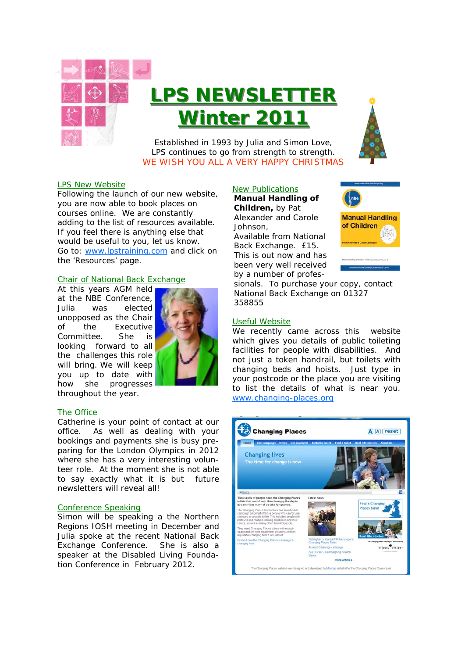

# **LPS NEWSLETTER Winter 2011 Winter 2011**



Established in 1993 by Julia and Simon Love, LPS continues to go from strength to strength. WE WISH YOU ALL A VERY HAPPY CHRISTMAS

# LPS New Website

Following the launch of our new website, you are now able to book places on courses online. We are constantly adding to the list of resources available. If you feel there is anything else that would be useful to you, let us know. Go to: www.lpstraining.com and click on the 'Resources' page.

#### Chair of National Back Exchange

At this years AGM held at the NBE Conference, Julia was elected unopposed as the Chair of the Executive Committee. She is looking forward to all the challenges this role will bring. We will keep you up to date with how she progresses throughout the year.



#### The Office

Catherine is your point of contact at our office. As well as dealing with your bookings and payments she is busy preparing for the London Olympics in 2012 where she has a very interesting volunteer role. At the moment she is not able to say exactly what it is but future newsletters will reveal all!

#### Conference Speaking

Simon will be speaking a the Northern Regions IOSH meeting in December and Julia spoke at the recent National Back Exchange Conference. She is also a speaker at the Disabled Living Foundation Conference in February 2012.

#### New Publications **Manual Handling of**

**Children,** by Pat Alexander and Carole Johnson,

*Available from National Back Exchange. £15.*  This is out now and has been very well received by a number of profes-



sionals. To purchase your copy, contact National Back Exchange on 01327 358855

## Useful Website

We recently came across this website which gives you details of public toileting facilities for people with disabilities. And not just a token handrail, but toilets with changing beds and hoists. Just type in your postcode or the place you are visiting to list the details of what is near you. www.changing-places.org